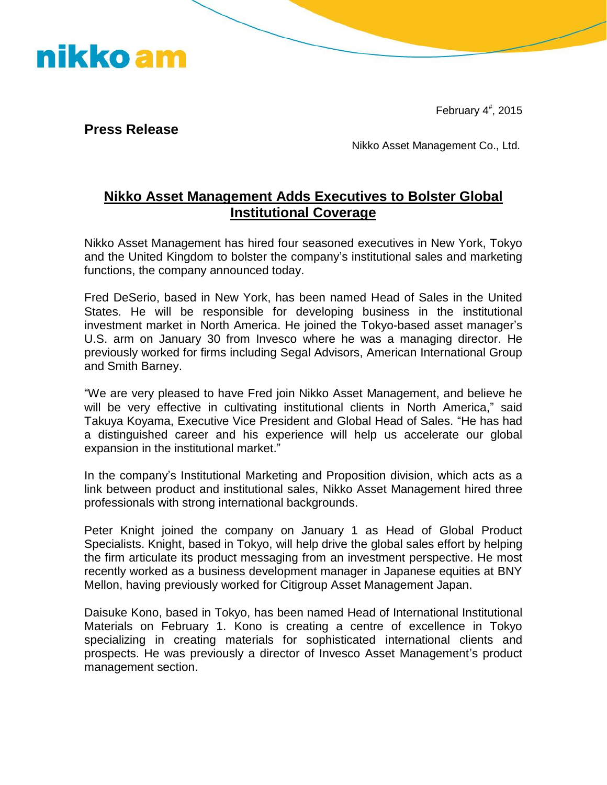February 4<sup>#</sup>, 2015

**Press Release** 

nikko am

Nikko Asset Management Co., Ltd.

## **Nikko Asset Management Adds Executives to Bolster Global Institutional Coverage**

Nikko Asset Management has hired four seasoned executives in New York, Tokyo and the United Kingdom to bolster the company's institutional sales and marketing functions, the company announced today.

Fred DeSerio, based in New York, has been named Head of Sales in the United States. He will be responsible for developing business in the institutional investment market in North America. He joined the Tokyo-based asset manager's U.S. arm on January 30 from Invesco where he was a managing director. He previously worked for firms including Segal Advisors, American International Group and Smith Barney.

"We are very pleased to have Fred join Nikko Asset Management, and believe he will be very effective in cultivating institutional clients in North America," said Takuya Koyama, Executive Vice President and Global Head of Sales. "He has had a distinguished career and his experience will help us accelerate our global expansion in the institutional market."

In the company's Institutional Marketing and Proposition division, which acts as a link between product and institutional sales, Nikko Asset Management hired three professionals with strong international backgrounds.

Peter Knight joined the company on January 1 as Head of Global Product Specialists. Knight, based in Tokyo, will help drive the global sales effort by helping the firm articulate its product messaging from an investment perspective. He most recently worked as a business development manager in Japanese equities at BNY Mellon, having previously worked for Citigroup Asset Management Japan.

Daisuke Kono, based in Tokyo, has been named Head of International Institutional Materials on February 1. Kono is creating a centre of excellence in Tokyo specializing in creating materials for sophisticated international clients and prospects. He was previously a director of Invesco Asset Management's product management section.